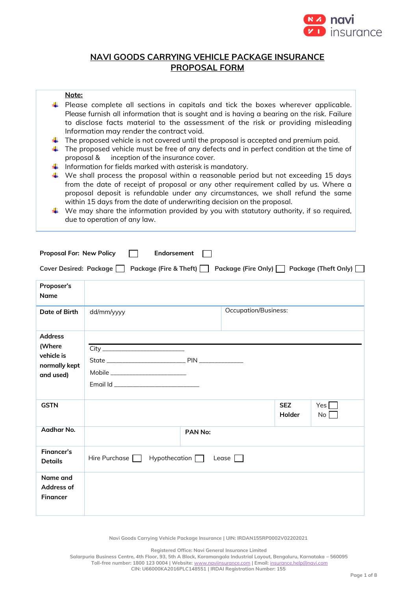

# **NAVI GOODS CARRYING VEHICLE PACKAGE INSURANCE PROPOSAL FORM**

# **Note:**

- $\ddot{\phantom{1}}$  Please complete all sections in capitals and tick the boxes wherever applicable. Please furnish all information that is sought and is having a bearing on the risk. Failure to disclose facts material to the assessment of the risk or providing misleading Information may render the contract void.
- $\downarrow$  The proposed vehicle is not covered until the proposal is accepted and premium paid.
- $\ddot{\phantom{1}}$  The proposed vehicle must be free of any defects and in perfect condition at the time of proposal & inception of the insurance cover.
- Information for fields marked with asterisk is mandatory.
- $\ddot{+}$  We shall process the proposal within a reasonable period but not exceeding 15 days from the date of receipt of proposal or any other requirement called by us. Where a proposal deposit is refundable under any circumstances, we shall refund the same within 15 days from the date of underwriting decision on the proposal.
- $\ddot{\phantom{1}}$  We may share the information provided by you with statutory authority, if so required, due to operation of any law.

| <b>Proposal For: New Policy</b>                                      | Endorsement                                                                                       |         |                             |                      |                         |  |  |
|----------------------------------------------------------------------|---------------------------------------------------------------------------------------------------|---------|-----------------------------|----------------------|-------------------------|--|--|
|                                                                      | Package (Fire Only) □ Package (Theft Only) □<br>Cover Desired: Package     Package (Fire & Theft) |         |                             |                      |                         |  |  |
| Proposer's<br><b>Name</b>                                            |                                                                                                   |         |                             |                      |                         |  |  |
| Date of Birth                                                        | dd/mm/yyyy                                                                                        |         | <b>Occupation/Business:</b> |                      |                         |  |  |
| <b>Address</b><br>(Where<br>vehicle is<br>normally kept<br>and used) | Mobile ____________________________<br>Email Id __________________________________                |         |                             |                      |                         |  |  |
| <b>GSTN</b>                                                          |                                                                                                   |         |                             | <b>SEZ</b><br>Holder | Yes $\Box$<br>$No \Box$ |  |  |
| Aadhar No.                                                           |                                                                                                   | PAN No: |                             |                      |                         |  |  |
| <b>Financer's</b><br><b>Details</b>                                  | Hire Purchase $\Box$ Hypothecation $\Box$                                                         |         | Lease                       |                      |                         |  |  |
| Name and<br>Address of<br><b>Financer</b>                            |                                                                                                   |         |                             |                      |                         |  |  |

**Navi Goods Carrying Vehicle Package Insurance | UIN: IRDAN155RP0002V02202021**

**Registered Office: Navi General Insurance Limited**

**Salarpuria Business Centre, 4th Floor, 93, 5th A Block, Koramangala Industrial Layout, Bengaluru, Karnataka – 560095 Toll-free number: 1800 123 0004 | Website:** [www.naviinsurance.com](http://www.naviinsurance.com/) **| Email:** [insurance.help@navi.com](mailto:insurance.help@navi.com) **CIN: U66000KA2016PLC148551 | IRDAI Registration Number: 155**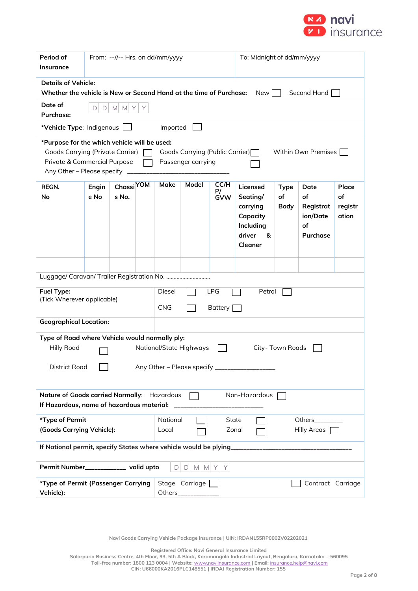

| Period of<br><b>Insurance</b>                                                                                                                                                     | From: --//-- Hrs. on dd/mm/yyyy                                                                                                                                                                                                               |                                |                                                  |          | To: Midnight of dd/mm/yyyy |                          |                                                                                     |                                  |                                                       |                                 |
|-----------------------------------------------------------------------------------------------------------------------------------------------------------------------------------|-----------------------------------------------------------------------------------------------------------------------------------------------------------------------------------------------------------------------------------------------|--------------------------------|--------------------------------------------------|----------|----------------------------|--------------------------|-------------------------------------------------------------------------------------|----------------------------------|-------------------------------------------------------|---------------------------------|
| Details of Vehicle:<br>Whether the vehicle is New or Second Hand at the time of Purchase:                                                                                         |                                                                                                                                                                                                                                               |                                |                                                  |          |                            |                          | New                                                                                 |                                  | Second Hand                                           |                                 |
| Date of<br><b>Purchase:</b>                                                                                                                                                       | M M Y<br>$\mathsf{D}$<br>Y<br>D                                                                                                                                                                                                               |                                |                                                  |          |                            |                          |                                                                                     |                                  |                                                       |                                 |
| *Vehicle Type: Indigenous                                                                                                                                                         |                                                                                                                                                                                                                                               |                                |                                                  | Imported |                            |                          |                                                                                     |                                  |                                                       |                                 |
|                                                                                                                                                                                   | *Purpose for the which vehicle will be used:<br><b>Goods Carrying (Private Carrier)</b><br>Goods Carrying (Public Carrier)<br>Within Own Premises<br>Private & Commercial Purpose<br>Passenger carrying<br>Any Other - Please specify _______ |                                |                                                  |          |                            |                          |                                                                                     |                                  |                                                       |                                 |
| REGN.<br>No                                                                                                                                                                       | Engin<br>e No                                                                                                                                                                                                                                 | Chassi <sup>YOM</sup><br>s No. |                                                  | Make     | Model                      | CC/H<br>P/<br><b>GVW</b> | Licensed<br>Seating/<br>carrying<br>Capacity<br>Including<br>driver<br>&<br>Cleaner | <b>Type</b><br>of<br><b>Body</b> | Date<br>of<br>Registrat<br>ion/Date<br>of<br>Purchase | Place<br>of<br>registr<br>ation |
|                                                                                                                                                                                   |                                                                                                                                                                                                                                               |                                |                                                  |          |                            |                          |                                                                                     |                                  |                                                       |                                 |
|                                                                                                                                                                                   |                                                                                                                                                                                                                                               |                                |                                                  |          |                            |                          |                                                                                     |                                  |                                                       |                                 |
| <b>Fuel Type:</b><br>(Tick Wherever applicable)                                                                                                                                   |                                                                                                                                                                                                                                               |                                | <b>LPG</b><br>Diesel<br>Petrol<br>CNG<br>Battery |          |                            |                          |                                                                                     |                                  |                                                       |                                 |
| <b>Geographical Location:</b>                                                                                                                                                     |                                                                                                                                                                                                                                               |                                |                                                  |          |                            |                          |                                                                                     |                                  |                                                       |                                 |
| Type of Road where Vehicle would normally ply:<br><b>Hilly Road</b><br>National/State Highways<br>City- Town Roads<br>Any Other - Please specify _______________<br>District Road |                                                                                                                                                                                                                                               |                                |                                                  |          |                            |                          |                                                                                     |                                  |                                                       |                                 |
| Nature of Goods carried Normally: Hazardous<br>Non-Hazardous<br>If Hazardous, name of hazardous material:                                                                         |                                                                                                                                                                                                                                               |                                |                                                  |          |                            |                          |                                                                                     |                                  |                                                       |                                 |
| *Type of Permit                                                                                                                                                                   |                                                                                                                                                                                                                                               |                                | National<br><b>State</b><br>Others__________     |          |                            |                          |                                                                                     |                                  |                                                       |                                 |
| (Goods Carrying Vehicle):                                                                                                                                                         |                                                                                                                                                                                                                                               |                                | Local                                            |          | Zonal                      |                          |                                                                                     | Hilly Areas [                    |                                                       |                                 |
|                                                                                                                                                                                   |                                                                                                                                                                                                                                               |                                |                                                  |          |                            |                          |                                                                                     |                                  |                                                       |                                 |
| Permit Number____________ valid upto                                                                                                                                              |                                                                                                                                                                                                                                               |                                |                                                  |          | $D D M M Y Y$              |                          |                                                                                     |                                  |                                                       |                                 |
| *Type of Permit (Passenger Carrying<br>Vehicle):                                                                                                                                  |                                                                                                                                                                                                                                               |                                |                                                  | Others_  | Stage Carriage             |                          |                                                                                     |                                  | Contract Carriage                                     |                                 |

**Navi Goods Carrying Vehicle Package Insurance | UIN: IRDAN155RP0002V02202021**

**Registered Office: Navi General Insurance Limited**

**Salarpuria Business Centre, 4th Floor, 93, 5th A Block, Koramangala Industrial Layout, Bengaluru, Karnataka – 560095 Toll-free number: 1800 123 0004 | Website:** [www.naviinsurance.com](http://www.naviinsurance.com/) **| Email:** [insurance.help@navi.com](mailto:insurance.help@navi.com) **CIN: U66000KA2016PLC148551 | IRDAI Registration Number: 155**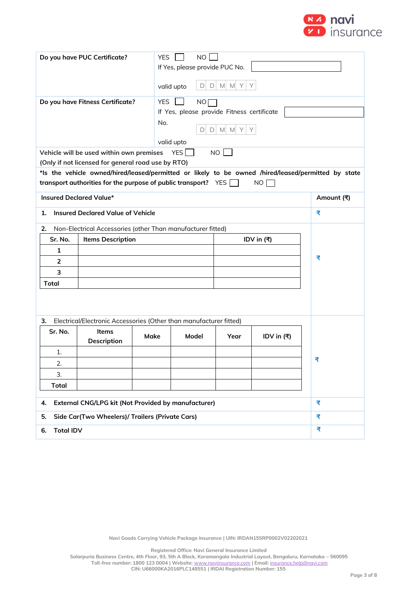

|                       | Do you have PUC Certificate?                                                                                                                                          | <b>YES</b> |            | <b>NO</b>   |                                            |               |  |            |
|-----------------------|-----------------------------------------------------------------------------------------------------------------------------------------------------------------------|------------|------------|-------------|--------------------------------------------|---------------|--|------------|
|                       |                                                                                                                                                                       |            |            |             | If Yes, please provide PUC No.             |               |  |            |
|                       |                                                                                                                                                                       | valid upto |            | $\Box$<br>D | $M$ $M$ $Y$<br>Y                           |               |  |            |
|                       | Do you have Fitness Certificate?                                                                                                                                      | <b>YES</b> |            | NO          |                                            |               |  |            |
|                       |                                                                                                                                                                       |            |            |             | If Yes, please provide Fitness certificate |               |  |            |
|                       |                                                                                                                                                                       | No.        |            | D           | $D$ M M Y                                  | Υ             |  |            |
|                       |                                                                                                                                                                       | valid upto |            |             |                                            |               |  |            |
|                       | Vehicle will be used within own premises                                                                                                                              |            | YES $\Box$ |             | $NO$ $\Box$                                |               |  |            |
|                       | (Only if not licensed for general road use by RTO)                                                                                                                    |            |            |             |                                            |               |  |            |
|                       | *Is the vehicle owned/hired/leased/permitted or likely to be owned /hired/leased/permitted by state<br>transport authorities for the purpose of public transport? YES |            |            |             |                                            | NO            |  |            |
|                       | <b>Insured Declared Value*</b>                                                                                                                                        |            |            |             |                                            |               |  | Amount (₹) |
| 1.                    | <b>Insured Declared Value of Vehicle</b>                                                                                                                              |            |            |             |                                            |               |  | ₹          |
| 2.                    | Non-Electrical Accessories (other Than manufacturer fitted)                                                                                                           |            |            |             |                                            |               |  |            |
| Sr. No.               | <b>Items Description</b><br>IDV in (₹)                                                                                                                                |            |            |             |                                            |               |  |            |
| 1                     |                                                                                                                                                                       |            |            |             |                                            |               |  |            |
| 2                     |                                                                                                                                                                       |            |            |             |                                            |               |  | ₹          |
| 3                     |                                                                                                                                                                       |            |            |             |                                            |               |  |            |
| <b>Total</b>          |                                                                                                                                                                       |            |            |             |                                            |               |  |            |
| з.                    | Electrical/Electronic Accessories (Other than manufacturer fitted)                                                                                                    |            |            |             |                                            |               |  |            |
| Sr. No.               | <b>Items</b>                                                                                                                                                          |            |            |             |                                            |               |  |            |
|                       | Description                                                                                                                                                           | Make       | Model      |             | Year                                       | IDV in $( ₹)$ |  |            |
| 1.                    |                                                                                                                                                                       |            |            |             |                                            |               |  |            |
| 2.                    |                                                                                                                                                                       |            |            |             |                                            |               |  | ₹          |
| 3.                    |                                                                                                                                                                       |            |            |             |                                            |               |  |            |
| <b>Total</b>          |                                                                                                                                                                       |            |            |             |                                            |               |  |            |
| 4.                    | External CNG/LPG kit (Not Provided by manufacturer)<br>₹                                                                                                              |            |            |             |                                            |               |  |            |
| 5.                    | Side Car(Two Wheelers)/ Trailers (Private Cars)                                                                                                                       |            |            |             |                                            |               |  | ₹          |
| ₹<br><b>Total IDV</b> |                                                                                                                                                                       |            |            |             |                                            |               |  |            |
| 6.                    |                                                                                                                                                                       |            |            |             |                                            |               |  |            |

**Registered Office: Navi General Insurance Limited**

**Salarpuria Business Centre, 4th Floor, 93, 5th A Block, Koramangala Industrial Layout, Bengaluru, Karnataka – 560095 Toll-free number: 1800 123 0004 | Website:** [www.naviinsurance.com](http://www.naviinsurance.com/) **| Email:** [insurance.help@navi.com](mailto:insurance.help@navi.com)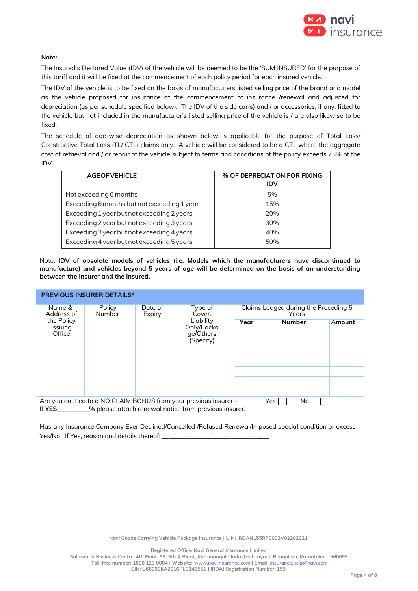

# **Note:**

The Insured's Declared Value (IDV) of the vehicle will be deemed to be the 'SUM INSURED' for the purpose of this tariff and it will be fixed at the commencement of each policy period for each insured vehicle.

The IDV of the vehicle is to be fixed on the basis of manufacturers listed selling price of the brand and model as the vehicle proposed for insurance at the commencement of insurance /renewal and adjusted for depreciation (as per schedule specified below). The IDV of the side car(s) and / or accessories, if any, fitted to the vehicle but not included in the manufacturer's listed selling price of the vehicle is / are also likewise to be fixed.

The schedule of age-wise depreciation as shown below is applicable for the purpose of Total Loss/ Constructive Total Loss (TL/ CTL) claims only. A vehicle will be considered to be a CTL where the aggregate cost of retrieval and / or repair of the vehicle subject to terms and conditions of the policy exceeds 75% of the IDV.

| <b>AGE OF VEHICLE</b>                       | % OF DEPRECIATION FOR FIXING<br><b>IDV</b> |
|---------------------------------------------|--------------------------------------------|
| Not exceeding 6 months                      | 5%                                         |
| Exceeding 6 months but not exceeding 1 year | 15%                                        |
| Exceeding 1 year but not exceeding 2 years  | 20%                                        |
| Exceeding 2 year but not exceeding 3 years  | 30%                                        |
| Exceeding 3 year but not exceeding 4 years  | 40%                                        |
| Exceeding 4 year but not exceeding 5 years  | 50%                                        |

Note. **IDV of obsolete models of vehicles (i.e. Models which the manufacturers have discontinued to manufacture) and vehicles beyond 5 years of age will be determined on the basis of an understanding between the insurer and the insured.**

|                                                                                                                                                            | <b>PREVIOUS INSURER DETAILS*</b>      |  |                                                   |                                               |               |        |  |  |
|------------------------------------------------------------------------------------------------------------------------------------------------------------|---------------------------------------|--|---------------------------------------------------|-----------------------------------------------|---------------|--------|--|--|
| Name &<br>Address of                                                                                                                                       | Date of<br>Policy<br>Number<br>Expiry |  | Type of<br>Cover.                                 | Claims Lodged during the Preceding 5<br>Years |               |        |  |  |
| the Policy<br><b>Issuing</b><br>Office                                                                                                                     |                                       |  | Liability<br>Only/Packa<br>ge/Others<br>(Specify) | Year                                          | <b>Number</b> | Amount |  |  |
|                                                                                                                                                            |                                       |  |                                                   |                                               |               |        |  |  |
|                                                                                                                                                            |                                       |  |                                                   |                                               |               |        |  |  |
|                                                                                                                                                            |                                       |  |                                                   |                                               |               |        |  |  |
|                                                                                                                                                            |                                       |  |                                                   |                                               |               |        |  |  |
|                                                                                                                                                            |                                       |  |                                                   |                                               |               |        |  |  |
| Are you entitled to a NO CLAIM BONUS from your previous insurer -<br>Yes l<br>No I<br>If YES_________% please attach renewal notice from previous insurer. |                                       |  |                                                   |                                               |               |        |  |  |
| Has any Insurance Company Ever Declined/Cancelled /Refused Renewal/Imposed special condition or excess –                                                   |                                       |  |                                                   |                                               |               |        |  |  |
| Yes/No If Yes, reason and details thereof:                                                                                                                 |                                       |  |                                                   |                                               |               |        |  |  |

**Navi Goods Carrying Vehicle Package Insurance | UIN: IRDAN155RP0002V02202021**

**Registered Office: Navi General Insurance Limited**

**Salarpuria Business Centre, 4th Floor, 93, 5th A Block, Koramangala Industrial Layout, Bengaluru, Karnataka – 560095 Toll-free number: 1800 123 0004 | Website:** [www.naviinsurance.com](http://www.naviinsurance.com/) **| Email:** [insurance.help@navi.com](mailto:insurance.help@navi.com) **CIN: U66000KA2016PLC148551 | IRDAI Registration Number: 155**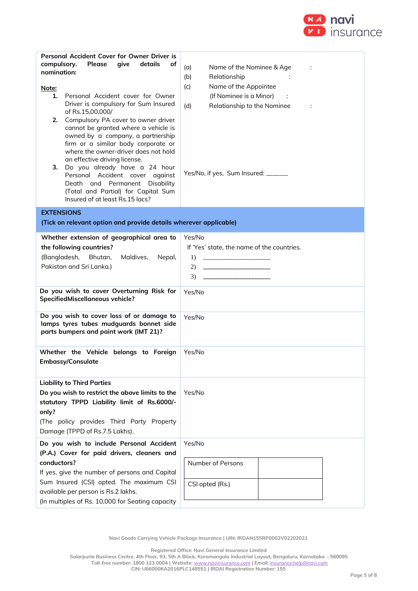

| Personal Accident Cover for Owner Driver is<br>compulsory.<br>Please<br>give<br>details<br>оf<br>nomination:<br><u>Note:</u><br>Personal Accident cover for Owner<br>1.<br>Driver is compulsory for Sum Insured<br>of Rs.15,00,000/<br>Compulsory PA cover to owner driver<br>2.<br>cannot be granted where a vehicle is<br>owned by a company, a partnership<br>firm or a similar body corporate or<br>where the owner-driver does not hold<br>an effective driving license.<br>Do you already have a 24 hour<br>з.<br>Personal Accident cover against<br>Death and Permanent Disability<br>(Total and Partial) for Capital Sum<br>Insured of at least Rs.15 lacs? | (a)<br>Name of the Nominee & Age<br>÷<br>(b)<br>Relationship<br>Name of the Appointee<br>(c)<br>(If Nominee is a Minor)<br>Relationship to the Nominee<br>(d)<br>÷<br>Yes/No, if yes, Sum Insured: _______ |
|---------------------------------------------------------------------------------------------------------------------------------------------------------------------------------------------------------------------------------------------------------------------------------------------------------------------------------------------------------------------------------------------------------------------------------------------------------------------------------------------------------------------------------------------------------------------------------------------------------------------------------------------------------------------|------------------------------------------------------------------------------------------------------------------------------------------------------------------------------------------------------------|
| <b>EXTENSIONS</b>                                                                                                                                                                                                                                                                                                                                                                                                                                                                                                                                                                                                                                                   |                                                                                                                                                                                                            |
| (Tick on relevant option and provide details wherever applicable)                                                                                                                                                                                                                                                                                                                                                                                                                                                                                                                                                                                                   |                                                                                                                                                                                                            |
| Whether extension of geographical area to<br>the following countries?<br>(Bangladesh,<br>Bhutan,<br>Maldives,<br>Nepal,<br>Pakistan and Sri Lanka.)                                                                                                                                                                                                                                                                                                                                                                                                                                                                                                                 | Yes/No<br>If 'Yes' state, the name of the countries.<br><u> 1990 - Johann Barn, mars and de Brasilian (b. 19</u><br>1)<br>2)<br>______________________<br>3)<br>_____________________                      |
| Do you wish to cover Overturning Risk for<br>SpecifiedMiscellaneous vehicle?                                                                                                                                                                                                                                                                                                                                                                                                                                                                                                                                                                                        | Yes/No                                                                                                                                                                                                     |
| Do you wish to cover loss of or damage to<br>lamps tyres tubes mudguards bonnet side<br>parts bumpers and paint work (IMT 21)?                                                                                                                                                                                                                                                                                                                                                                                                                                                                                                                                      | Yes/No                                                                                                                                                                                                     |
| Whether the Vehicle belongs to Foreign<br>Embassy/Consulate                                                                                                                                                                                                                                                                                                                                                                                                                                                                                                                                                                                                         | Yes/No                                                                                                                                                                                                     |
| <b>Liability to Third Parties</b><br>Do you wish to restrict the above limits to the<br>statutory TPPD Liability limit of Rs.6000/-<br>only?<br>(The policy provides Third Party Property<br>Damage (TPPD of Rs.7.5 Lakhs).                                                                                                                                                                                                                                                                                                                                                                                                                                         | Yes/No                                                                                                                                                                                                     |
| Do you wish to include Personal Accident<br>(P.A.) Cover for paid drivers, cleaners and<br>conductors?<br>If yes, give the number of persons and Capital<br>Sum Insured (CSI) opted. The maximum CSI<br>available per person is Rs.2 lakhs.<br>(In multiples of Rs. 10,000 for Seating capacity                                                                                                                                                                                                                                                                                                                                                                     | Yes/No<br>Number of Persons<br>CSI opted (Rs.)                                                                                                                                                             |

**Navi Goods Carrying Vehicle Package Insurance | UIN: IRDAN155RP0002V02202021**

**Registered Office: Navi General Insurance Limited**

**Salarpuria Business Centre, 4th Floor, 93, 5th A Block, Koramangala Industrial Layout, Bengaluru, Karnataka – 560095 Toll-free number: 1800 123 0004 | Website:** [www.naviinsurance.com](http://www.naviinsurance.com/) **| Email:** [insurance.help@navi.com](mailto:insurance.help@navi.com)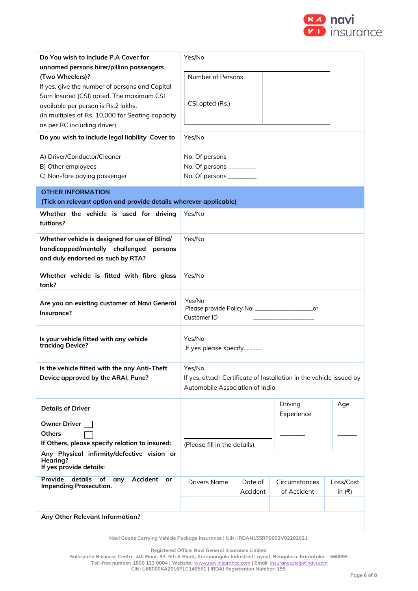

| Do You wish to include P.A Cover for<br>unnamed persons hirer/pillion passengers<br>(Two Wheelers)?<br>If yes, give the number of persons and Capital<br>Sum Insured (CSI) opted. The maximum CSI<br>available per person is Rs.2 lakhs.<br>(In multiples of Rs. 10,000 for Seating capacity<br>as per RC including driver)<br>Do you wish to include legal liability Cover to<br>A) Driver/Conductor/Cleaner<br>B) Other employees<br>C) Non-fare paying passenger | Yes/No<br>Number of Persons<br>CSI opted (Rs.)<br>Yes/No<br>No. Of persons $\frac{1}{2}$<br>No. Of persons ________<br>No. Of persons ________ |                     |                                                                     |                        |  |
|---------------------------------------------------------------------------------------------------------------------------------------------------------------------------------------------------------------------------------------------------------------------------------------------------------------------------------------------------------------------------------------------------------------------------------------------------------------------|------------------------------------------------------------------------------------------------------------------------------------------------|---------------------|---------------------------------------------------------------------|------------------------|--|
| <b>OTHER INFORMATION</b>                                                                                                                                                                                                                                                                                                                                                                                                                                            |                                                                                                                                                |                     |                                                                     |                        |  |
| (Tick on relevant option and provide details wherever applicable)                                                                                                                                                                                                                                                                                                                                                                                                   |                                                                                                                                                |                     |                                                                     |                        |  |
| Whether the vehicle is used for driving<br>tuitions?                                                                                                                                                                                                                                                                                                                                                                                                                | Yes/No                                                                                                                                         |                     |                                                                     |                        |  |
| Whether vehicle is designed for use of Blind/<br>handicapped/mentally challenged<br>persons<br>and duly endorsed as such by RTA?                                                                                                                                                                                                                                                                                                                                    | Yes/No                                                                                                                                         |                     |                                                                     |                        |  |
| Whether vehicle is fitted with fibre glass<br>tank?                                                                                                                                                                                                                                                                                                                                                                                                                 | Yes/No                                                                                                                                         |                     |                                                                     |                        |  |
| Are you an existing customer of Navi General<br>Insurance?                                                                                                                                                                                                                                                                                                                                                                                                          | Yes/No<br>Please provide Policy No: ______________________or<br>Customer ID                                                                    |                     |                                                                     |                        |  |
| Is your vehicle fitted with any vehicle<br>tracking Device?                                                                                                                                                                                                                                                                                                                                                                                                         | Yes/No<br>If yes please specify                                                                                                                |                     |                                                                     |                        |  |
| Is the vehicle fitted with the any Anti-Theft                                                                                                                                                                                                                                                                                                                                                                                                                       | Yes/No                                                                                                                                         |                     |                                                                     |                        |  |
| Device approved by the ARAI, Pune?                                                                                                                                                                                                                                                                                                                                                                                                                                  | Automobile Association of India                                                                                                                |                     | If yes, attach Certificate of Installation in the vehicle issued by |                        |  |
| <b>Details of Driver</b>                                                                                                                                                                                                                                                                                                                                                                                                                                            |                                                                                                                                                |                     | Driving<br>Experience                                               | Age                    |  |
| <b>Owner Driver</b>                                                                                                                                                                                                                                                                                                                                                                                                                                                 |                                                                                                                                                |                     |                                                                     |                        |  |
| Others                                                                                                                                                                                                                                                                                                                                                                                                                                                              |                                                                                                                                                |                     |                                                                     |                        |  |
| If Others, please specify relation to insured:                                                                                                                                                                                                                                                                                                                                                                                                                      | (Please fill in the details)                                                                                                                   |                     |                                                                     |                        |  |
| Any Physical infirmity/defective vision or<br>Hearing?<br>If yes provide details:                                                                                                                                                                                                                                                                                                                                                                                   |                                                                                                                                                |                     |                                                                     |                        |  |
| <b>Provide</b><br>details<br>of<br>Accident<br>any<br>or<br><b>Impending Prosecution.</b>                                                                                                                                                                                                                                                                                                                                                                           | <b>Drivers Name</b>                                                                                                                            | Date of<br>Accident | Circumstances<br>of Accident                                        | Loss/Cost<br>in $($ ₹) |  |
| Any Other Relevant Information?                                                                                                                                                                                                                                                                                                                                                                                                                                     |                                                                                                                                                |                     |                                                                     |                        |  |

**Navi Goods Carrying Vehicle Package Insurance | UIN: IRDAN155RP0002V02202021**

**Registered Office: Navi General Insurance Limited**

**Salarpuria Business Centre, 4th Floor, 93, 5th A Block, Koramangala Industrial Layout, Bengaluru, Karnataka – 560095 Toll-free number: 1800 123 0004 | Website:** [www.naviinsurance.com](http://www.naviinsurance.com/) **| Email:** [insurance.help@navi.com](mailto:insurance.help@navi.com)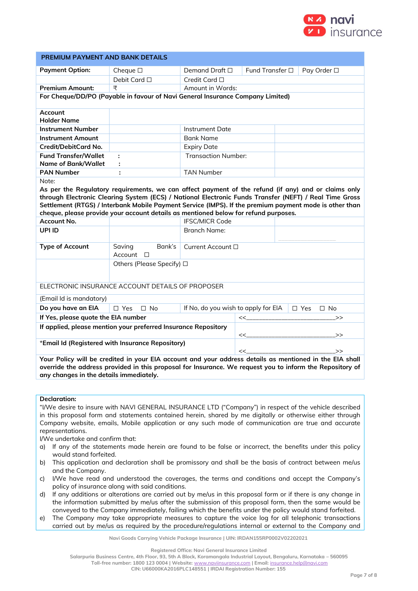

| PREMIUM PAYMENT AND BANK DETAILS                                                                       |                                                                                                          |                                                       |    |  |            |           |  |
|--------------------------------------------------------------------------------------------------------|----------------------------------------------------------------------------------------------------------|-------------------------------------------------------|----|--|------------|-----------|--|
| <b>Payment Option:</b>                                                                                 | Cheque $\square$                                                                                         | Fund Transfer □<br>Demand Draft $\Box$<br>Pay Order □ |    |  |            |           |  |
|                                                                                                        | Debit Card □                                                                                             | Credit Card □                                         |    |  |            |           |  |
| <b>Premium Amount:</b>                                                                                 | ₹                                                                                                        | Amount in Words:                                      |    |  |            |           |  |
| For Cheque/DD/PO (Payable in favour of Navi General Insurance Company Limited)                         |                                                                                                          |                                                       |    |  |            |           |  |
| Account<br><b>Holder Name</b>                                                                          |                                                                                                          |                                                       |    |  |            |           |  |
| <b>Instrument Number</b>                                                                               |                                                                                                          | <b>Instrument Date</b>                                |    |  |            |           |  |
| <b>Instrument Amount</b>                                                                               |                                                                                                          | <b>Bank Name</b>                                      |    |  |            |           |  |
| Credit/DebitCard No.                                                                                   |                                                                                                          | <b>Expiry Date</b>                                    |    |  |            |           |  |
| <b>Fund Transfer/Wallet</b>                                                                            | ÷                                                                                                        | <b>Transaction Number:</b>                            |    |  |            |           |  |
| <b>Name of Bank/Wallet</b>                                                                             |                                                                                                          |                                                       |    |  |            |           |  |
| <b>PAN Number</b>                                                                                      | ÷                                                                                                        | <b>TAN Number</b>                                     |    |  |            |           |  |
| Note:                                                                                                  |                                                                                                          |                                                       |    |  |            |           |  |
|                                                                                                        | As per the Regulatory requirements, we can affect payment of the refund (if any) and or claims only      |                                                       |    |  |            |           |  |
| through Electronic Clearing System (ECS) / National Electronic Funds Transfer (NEFT) / Real Time Gross |                                                                                                          |                                                       |    |  |            |           |  |
|                                                                                                        | Settlement (RTGS) / Interbank Mobile Payment Service (IMPS). If the premium payment mode is other than   |                                                       |    |  |            |           |  |
| Account No.                                                                                            | cheque, please provide your account details as mentioned below for refund purposes.                      | <b>IFSC/MICR Code</b>                                 |    |  |            |           |  |
| UPI ID                                                                                                 |                                                                                                          | <b>Branch Name:</b>                                   |    |  |            |           |  |
|                                                                                                        |                                                                                                          |                                                       |    |  |            |           |  |
| <b>Type of Account</b>                                                                                 | Bank's<br>Saving<br>$Account$ $\Box$                                                                     | Current Account □                                     |    |  |            |           |  |
|                                                                                                        | Others (Please Specify) □                                                                                |                                                       |    |  |            |           |  |
|                                                                                                        |                                                                                                          |                                                       |    |  |            |           |  |
|                                                                                                        | ELECTRONIC INSURANCE ACCOUNT DETAILS OF PROPOSER                                                         |                                                       |    |  |            |           |  |
| (Email Id is mandatory)                                                                                |                                                                                                          |                                                       |    |  |            |           |  |
| Do you have an EIA                                                                                     | $\square$ Yes<br>$\square$ No                                                                            | If No, do you wish to apply for EIA                   |    |  | $\Box$ Yes | $\Box$ No |  |
| If Yes, please quote the EIA number                                                                    |                                                                                                          |                                                       | << |  |            | $\gt$     |  |
|                                                                                                        | If applied, please mention your preferred Insurance Repository                                           |                                                       |    |  |            |           |  |
|                                                                                                        |                                                                                                          |                                                       | << |  |            | $\gt$     |  |
|                                                                                                        | *Email Id (Registered with Insurance Repository)<br><<<br>>>                                             |                                                       |    |  |            |           |  |
|                                                                                                        | Your Policy will be credited in your EIA account and your address details as mentioned in the EIA shall  |                                                       |    |  |            |           |  |
|                                                                                                        | override the address provided in this proposal for Insurance. We request you to inform the Repository of |                                                       |    |  |            |           |  |
| any changes in the details immediately.                                                                |                                                                                                          |                                                       |    |  |            |           |  |

### **Declaration:**

"I/We desire to insure with NAVI GENERAL INSURANCE LTD ("Company") in respect of the vehicle described in this proposal form and statements contained herein, shared by me digitally or otherwise either through Company website, emails, Mobile application or any such mode of communication are true and accurate representations.

I/We undertake and confirm that:

- a) If any of the statements made herein are found to be false or incorrect, the benefits under this policy would stand forfeited.
- b) This application and declaration shall be promissory and shall be the basis of contract between me/us and the Company.
- c) I/We have read and understood the coverages, the terms and conditions and accept the Company's policy of insurance along with said conditions.
- d) If any additions or alterations are carried out by me/us in this proposal form or if there is any change in the information submitted by me/us after the submission of this proposal form, then the same would be conveyed to the Company immediately, failing which the benefits under the policy would stand forfeited.
- e) The Company may take appropriate measures to capture the voice log for all telephonic transactions carried out by me/us as required by the procedure/regulations internal or external to the Company and

**Navi Goods Carrying Vehicle Package Insurance | UIN: IRDAN155RP0002V02202021**

**Registered Office: Navi General Insurance Limited**

**Salarpuria Business Centre, 4th Floor, 93, 5th A Block, Koramangala Industrial Layout, Bengaluru, Karnataka – 560095**

**Toll-free number: 1800 123 0004 | Website:** [www.naviinsurance.com](http://www.naviinsurance.com/) **| Email:** [insurance.help@navi.com](mailto:insurance.help@navi.com)